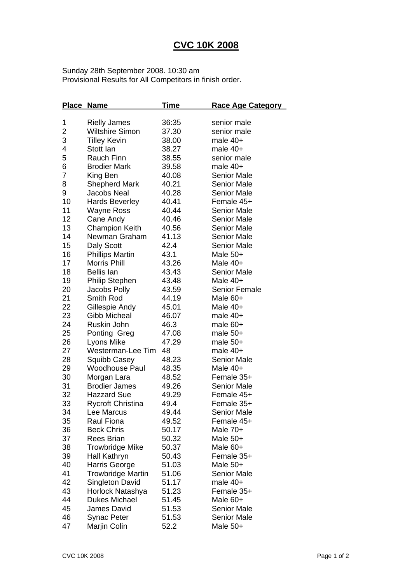## **CVC 10K 2008**

Sunday 28th September 2008. 10:30 am Provisional Results for All Competitors in finish order.

|                | <b>Place Name</b>        | <u>Time</u> | <u>Race Age Category</u> |
|----------------|--------------------------|-------------|--------------------------|
| 1              | <b>Rielly James</b>      | 36:35       | senior male              |
| 2              | <b>Wiltshire Simon</b>   | 37.30       | senior male              |
| 3              | <b>Tilley Kevin</b>      | 38.00       | male 40+                 |
| 4              | Stott lan                | 38.27       | male 40+                 |
| 5              | Rauch Finn               | 38.55       | senior male              |
| 6              | <b>Brodier Mark</b>      | 39.58       | male 40+                 |
| $\overline{7}$ | King Ben                 | 40.08       | <b>Senior Male</b>       |
| 8              | <b>Shepherd Mark</b>     | 40.21       | <b>Senior Male</b>       |
| 9              | Jacobs Neal              | 40.28       | <b>Senior Male</b>       |
| 10             | <b>Hards Beverley</b>    | 40.41       | Female 45+               |
| 11             | Wayne Ross               | 40.44       | <b>Senior Male</b>       |
| 12             | Cane Andy                | 40.46       | <b>Senior Male</b>       |
| 13             | <b>Champion Keith</b>    | 40.56       | <b>Senior Male</b>       |
| 14             | Newman Graham            | 41.13       | <b>Senior Male</b>       |
| 15             | Daly Scott               | 42.4        | <b>Senior Male</b>       |
| 16             | <b>Phillips Martin</b>   | 43.1        | Male $50+$               |
| 17             | Morris Phill             | 43.26       | Male 40+                 |
| 18             | <b>Bellis lan</b>        | 43.43       | <b>Senior Male</b>       |
| 19             | <b>Philip Stephen</b>    | 43.48       | Male 40+                 |
| 20             | Jacobs Polly             | 43.59       | <b>Senior Female</b>     |
| 21             | Smith Rod                | 44.19       | Male 60+                 |
| 22             | Gillespie Andy           | 45.01       | Male 40+                 |
| 23             | <b>Gibb Micheal</b>      | 46.07       | male 40+                 |
| 24             | Ruskin John              | 46.3        | male 60+                 |
| 25             | Ponting Greg             | 47.08       | male $50+$               |
| 26             | Lyons Mike               | 47.29       | male $50+$               |
| 27             | Westerman-Lee Tim        | 48          | male $40+$               |
| 28             | Squibb Casey             | 48.23       | <b>Senior Male</b>       |
| 29             | <b>Woodhouse Paul</b>    | 48.35       | Male 40+                 |
| 30             | Morgan Lara              | 48.52       | Female 35+               |
| 31             | <b>Brodier James</b>     | 49.26       | <b>Senior Male</b>       |
| 32             | <b>Hazzard Sue</b>       | 49.29       | Female 45+               |
| 33             | <b>Rycroft Christina</b> | 49.4        | Female 35+               |
| 34             | Lee Marcus               | 49.44       | <b>Senior Male</b>       |
| 35             | <b>Raul Fiona</b>        | 49.52       | Female 45+               |
| 36             | <b>Beck Chris</b>        | 50.17       | Male 70+                 |
| 37             | Rees Brian               | 50.32       | Male 50+                 |
| 38             | <b>Trowbridge Mike</b>   | 50.37       | Male 60+                 |
| 39             | Hall Kathryn             | 50.43       | Female 35+               |
| 40             | Harris George            | 51.03       | Male $50+$               |
| 41             | <b>Trowbridge Martin</b> | 51.06       | <b>Senior Male</b>       |
| 42             | Singleton David          | 51.17       | male 40+                 |
| 43             | Horlock Natashya         | 51.23       | Female 35+               |
| 44             | Dukes Michael            | 51.45       | Male 60+                 |
| 45             | James David              | 51.53       | <b>Senior Male</b>       |
| 46             | Synac Peter              | 51.53       | <b>Senior Male</b>       |
| 47             | Marjin Colin             | 52.2        | Male 50+                 |